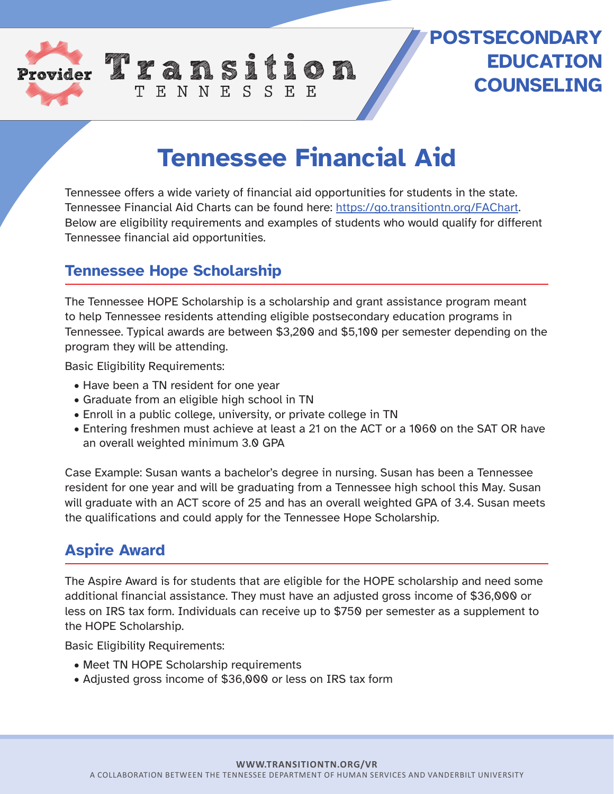

## **POSTSECONDARY EDUCATION COUNSELING**

# **Tennessee Financial Aid**

Tennessee offers a wide variety of financial aid opportunities for students in the state. Tennessee Financial Aid Charts can be found here: https://go.transitiontn.org/FAChart. Below are eligibility requirements and examples of students who would qualify for different Tennessee financial aid opportunities.

### **Tennessee Hope Scholarship**

The Tennessee HOPE Scholarship is a scholarship and grant assistance program meant to help Tennessee residents attending eligible postsecondary education programs in Tennessee. Typical awards are between \$3,200 and \$5,100 per semester depending on the program they will be attending.

Basic Eligibility Requirements:

- Have been a TN resident for one year
- Graduate from an eligible high school in TN
- Enroll in a public college, university, or private college in TN

TENNESSEE

• Entering freshmen must achieve at least a 21 on the ACT or a 1060 on the SAT OR have an overall weighted minimum 3.0 GPA

Case Example: Susan wants a bachelor's degree in nursing. Susan has been a Tennessee resident for one year and will be graduating from a Tennessee high school this May. Susan will graduate with an ACT score of 25 and has an overall weighted GPA of 3.4. Susan meets the qualifications and could apply for the Tennessee Hope Scholarship.

### **Aspire Award**

The Aspire Award is for students that are eligible for the HOPE scholarship and need some additional financial assistance. They must have an adjusted gross income of \$36,000 or less on IRS tax form. Individuals can receive up to \$750 per semester as a supplement to the HOPE Scholarship.

Basic Eligibility Requirements:

- Meet TN HOPE Scholarship requirements
- Adjusted gross income of \$36,000 or less on IRS tax form

#### **WWW.TRANSITIONTN.ORG/VR**

A COLLABORATION BETWEEN THE TENNESSEE DEPARTMENT OF HUMAN SERVICES AND VANDERBILT UNIVERSITY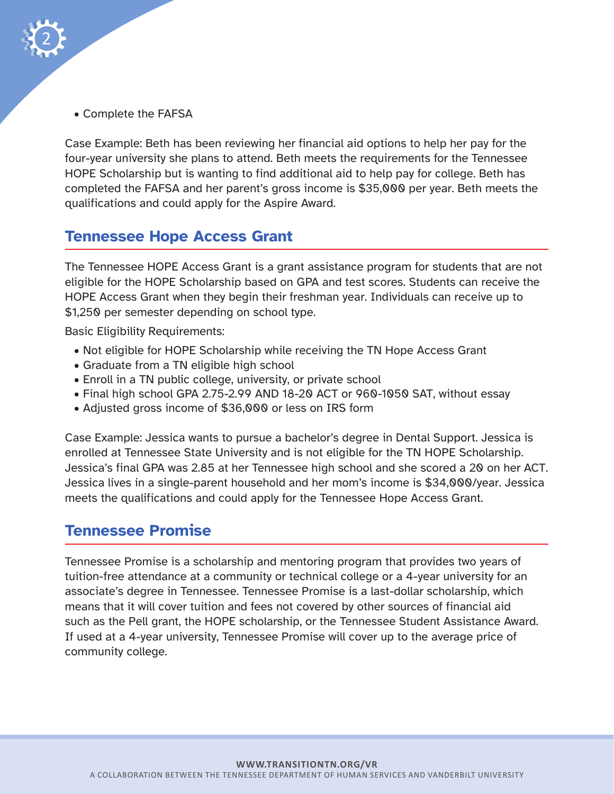

• Complete the FAFSA

Case Example: Beth has been reviewing her financial aid options to help her pay for the four-year university she plans to attend. Beth meets the requirements for the Tennessee HOPE Scholarship but is wanting to find additional aid to help pay for college. Beth has completed the FAFSA and her parent's gross income is \$35,000 per year. Beth meets the qualifications and could apply for the Aspire Award.

### **Tennessee Hope Access Grant**

The Tennessee HOPE Access Grant is a grant assistance program for students that are not eligible for the HOPE Scholarship based on GPA and test scores. Students can receive the HOPE Access Grant when they begin their freshman year. Individuals can receive up to \$1,250 per semester depending on school type.

Basic Eligibility Requirements:

- Not eligible for HOPE Scholarship while receiving the TN Hope Access Grant
- Graduate from a TN eligible high school
- Enroll in a TN public college, university, or private school
- Final high school GPA 2.75-2.99 AND 18-20 ACT or 960-1050 SAT, without essay
- Adjusted gross income of \$36,000 or less on IRS form

Case Example: Jessica wants to pursue a bachelor's degree in Dental Support. Jessica is enrolled at Tennessee State University and is not eligible for the TN HOPE Scholarship. Jessica's final GPA was 2.85 at her Tennessee high school and she scored a 20 on her ACT. Jessica lives in a single-parent household and her mom's income is \$34,000/year. Jessica meets the qualifications and could apply for the Tennessee Hope Access Grant.

### **Tennessee Promise**

Tennessee Promise is a scholarship and mentoring program that provides two years of tuition-free attendance at a community or technical college or a 4-year university for an associate's degree in Tennessee. Tennessee Promise is a last-dollar scholarship, which means that it will cover tuition and fees not covered by other sources of financial aid such as the Pell grant, the HOPE scholarship, or the Tennessee Student Assistance Award. If used at a 4-year university, Tennessee Promise will cover up to the average price of community college.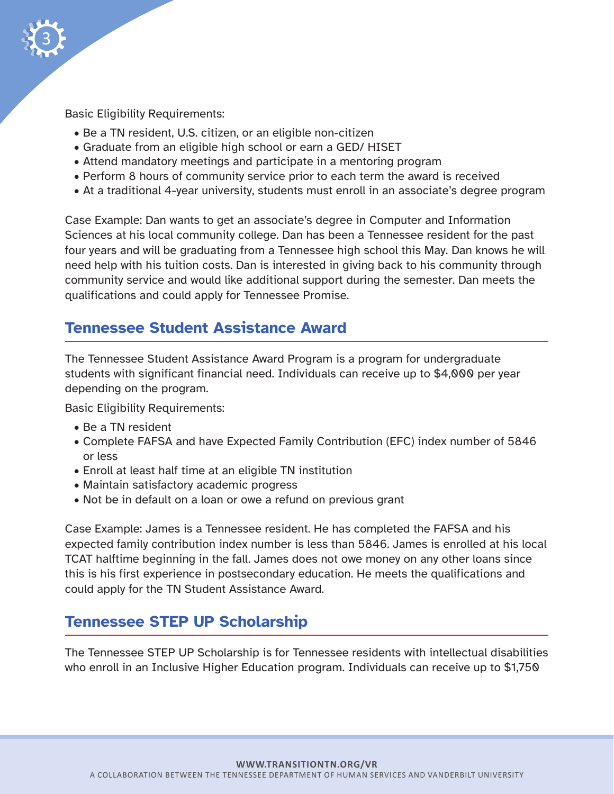

Basic Eligibility Requirements:

- Be a TN resident, U.S. citizen, or an eligible non-citizen
- Graduate from an eligible high school or earn a GED/ HISET
- Attend mandatory meetings and participate in a mentoring program
- Perform 8 hours of community service prior to each term the award is received
- At a traditional 4-year university, students must enroll in an associate's degree program

Case Example: Dan wants to get an associate's degree in Computer and Information Sciences at his local community college. Dan has been a Tennessee resident for the past four years and will be graduating from a Tennessee high school this May. Dan knows he will need help with his tuition costs. Dan is interested in giving back to his community through community service and would like additional support during the semester. Dan meets the qualifications and could apply for Tennessee Promise.

### **Tennessee Student Assistance Award**

The Tennessee Student Assistance Award Program is a program for undergraduate students with significant financial need. Individuals can receive up to \$4,000 per year depending on the program.

Basic Eligibility Requirements:

- Be a TN resident
- Complete FAFSA and have Expected Family Contribution (EFC) index number of 5846 or less
- Enroll at least half time at an eligible TN institution
- Maintain satisfactory academic progress
- Not be in default on a loan or owe a refund on previous grant

Case Example: James is a Tennessee resident. He has completed the FAFSA and his expected family contribution index number is less than 5846. James is enrolled at his local TCAT halftime beginning in the fall. James does not owe money on any other loans since this is his first experience in postsecondary education. He meets the qualifications and could apply for the TN Student Assistance Award.

### **Tennessee STEP UP Scholarship**

The Tennessee STEP UP Scholarship is for Tennessee residents with intellectual disabilities who enroll in an Inclusive Higher Education program. Individuals can receive up to \$1,750